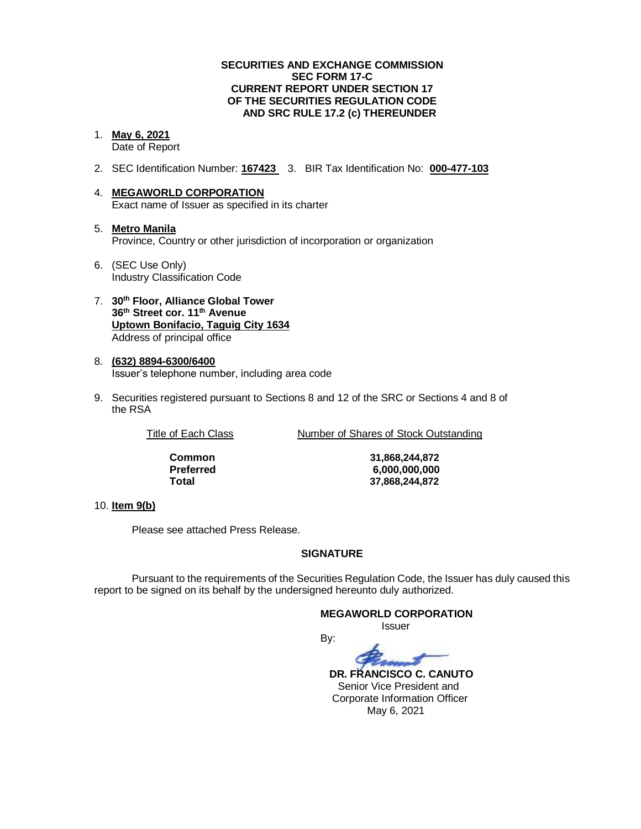#### **SECURITIES AND EXCHANGE COMMISSION SEC FORM 17-C CURRENT REPORT UNDER SECTION 17 OF THE SECURITIES REGULATION CODE AND SRC RULE 17.2 (c) THEREUNDER**

### 1. **May 6, 2021**

Date of Report

- 2. SEC Identification Number: **167423** 3. BIR Tax Identification No: **000-477-103**
- 4. **MEGAWORLD CORPORATION** Exact name of Issuer as specified in its charter
- 5. **Metro Manila** Province, Country or other jurisdiction of incorporation or organization
- 6. (SEC Use Only) Industry Classification Code
- 7. **30th Floor, Alliance Global Tower 36th Street cor. 11th Avenue Uptown Bonifacio, Taguig City 1634** Address of principal office
- 8. **(632) 8894-6300/6400** Issuer's telephone number, including area code
- 9. Securities registered pursuant to Sections 8 and 12 of the SRC or Sections 4 and 8 of the RSA

Title of Each Class Number of Shares of Stock Outstanding

**Common 31,868,244,872 Preferred 6,000,000,000 Total 37,868,244,872**

#### 10. **Item 9(b)**

Please see attached Press Release.

#### **SIGNATURE**

Pursuant to the requirements of the Securities Regulation Code, the Issuer has duly caused this report to be signed on its behalf by the undersigned hereunto duly authorized.

#### **MEGAWORLD CORPORATION**

Issuer

By:

 **DR. FRANCISCO C. CANUTO** Senior Vice President and Corporate Information Officer May 6, 2021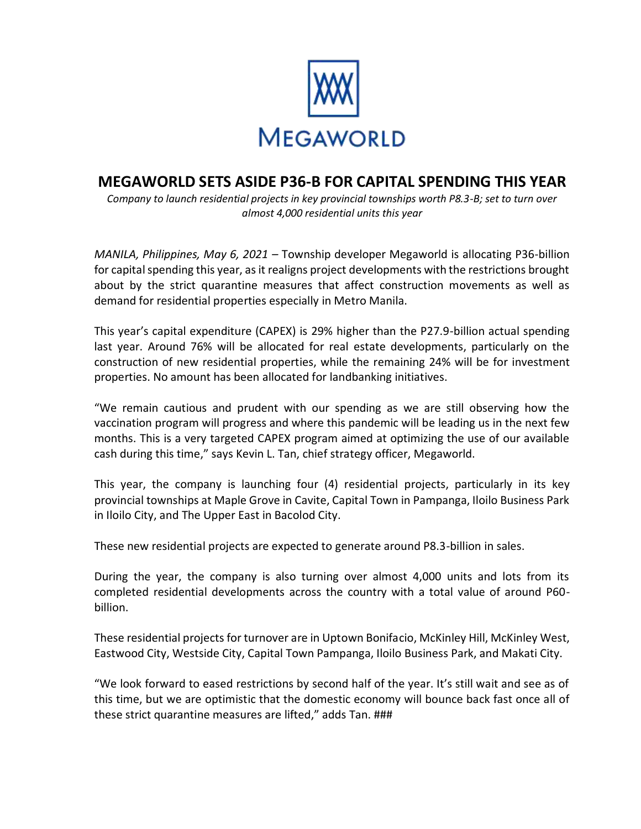

## **MEGAWORLD SETS ASIDE P36-B FOR CAPITAL SPENDING THIS YEAR**

*Company to launch residential projects in key provincial townships worth P8.3-B; set to turn over almost 4,000 residential units this year*

*MANILA, Philippines, May 6, 2021 –* Township developer Megaworld is allocating P36-billion for capital spending this year, as it realigns project developments with the restrictions brought about by the strict quarantine measures that affect construction movements as well as demand for residential properties especially in Metro Manila.

This year's capital expenditure (CAPEX) is 29% higher than the P27.9-billion actual spending last year. Around 76% will be allocated for real estate developments, particularly on the construction of new residential properties, while the remaining 24% will be for investment properties. No amount has been allocated for landbanking initiatives.

"We remain cautious and prudent with our spending as we are still observing how the vaccination program will progress and where this pandemic will be leading us in the next few months. This is a very targeted CAPEX program aimed at optimizing the use of our available cash during this time," says Kevin L. Tan, chief strategy officer, Megaworld.

This year, the company is launching four (4) residential projects, particularly in its key provincial townships at Maple Grove in Cavite, Capital Town in Pampanga, Iloilo Business Park in Iloilo City, and The Upper East in Bacolod City.

These new residential projects are expected to generate around P8.3-billion in sales.

During the year, the company is also turning over almost 4,000 units and lots from its completed residential developments across the country with a total value of around P60 billion.

These residential projects for turnover are in Uptown Bonifacio, McKinley Hill, McKinley West, Eastwood City, Westside City, Capital Town Pampanga, Iloilo Business Park, and Makati City.

"We look forward to eased restrictions by second half of the year. It's still wait and see as of this time, but we are optimistic that the domestic economy will bounce back fast once all of these strict quarantine measures are lifted," adds Tan. ###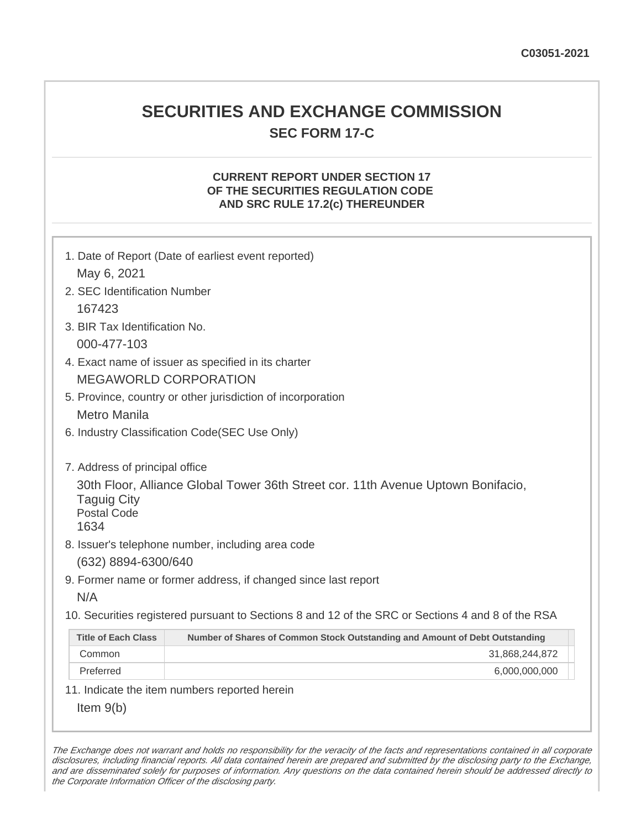## **SECURITIES AND EXCHANGE COMMISSION SEC FORM 17-C**

#### **CURRENT REPORT UNDER SECTION 17 OF THE SECURITIES REGULATION CODE AND SRC RULE 17.2(c) THEREUNDER**

| 1. Date of Report (Date of earliest event reported)<br>May 6, 2021                                                                                                     |                                                                             |  |
|------------------------------------------------------------------------------------------------------------------------------------------------------------------------|-----------------------------------------------------------------------------|--|
| 2. SEC Identification Number                                                                                                                                           |                                                                             |  |
| 167423                                                                                                                                                                 |                                                                             |  |
| 3. BIR Tax Identification No.                                                                                                                                          |                                                                             |  |
| 000-477-103                                                                                                                                                            |                                                                             |  |
| 4. Exact name of issuer as specified in its charter                                                                                                                    |                                                                             |  |
| <b>MEGAWORLD CORPORATION</b>                                                                                                                                           |                                                                             |  |
| 5. Province, country or other jurisdiction of incorporation                                                                                                            |                                                                             |  |
| Metro Manila                                                                                                                                                           |                                                                             |  |
| 6. Industry Classification Code(SEC Use Only)                                                                                                                          |                                                                             |  |
| 7. Address of principal office<br>30th Floor, Alliance Global Tower 36th Street cor. 11th Avenue Uptown Bonifacio,<br><b>Taguig City</b><br><b>Postal Code</b><br>1634 |                                                                             |  |
| 8. Issuer's telephone number, including area code                                                                                                                      |                                                                             |  |
| (632) 8894-6300/640                                                                                                                                                    |                                                                             |  |
| 9. Former name or former address, if changed since last report                                                                                                         |                                                                             |  |
| N/A                                                                                                                                                                    |                                                                             |  |
| 10. Securities registered pursuant to Sections 8 and 12 of the SRC or Sections 4 and 8 of the RSA                                                                      |                                                                             |  |
| <b>Title of Each Class</b>                                                                                                                                             | Number of Shares of Common Stock Outstanding and Amount of Debt Outstanding |  |
| Common                                                                                                                                                                 | 31,868,244,872                                                              |  |
| Preferred                                                                                                                                                              | 6,000,000,000                                                               |  |
|                                                                                                                                                                        | 11. Indicate the item numbers reported herein                               |  |
| Item $9(b)$                                                                                                                                                            |                                                                             |  |

The Exchange does not warrant and holds no responsibility for the veracity of the facts and representations contained in all corporate disclosures, including financial reports. All data contained herein are prepared and submitted by the disclosing party to the Exchange, and are disseminated solely for purposes of information. Any questions on the data contained herein should be addressed directly to the Corporate Information Officer of the disclosing party.